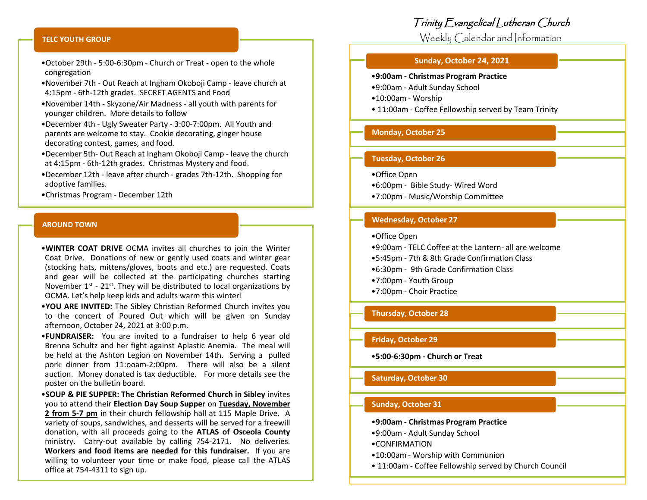# Trinity Evangelical Lutheran Church

Weekly Calendar and Information

### **Sunday, October 24, 2021**

### •**9:00am - Christmas Program Practice**

- •9:00am Adult Sunday School
- •10:00am Worship
- 11:00am Coffee Fellowship served by Team Trinity

## **Monday, October 25**

## **Tuesday, October 26**

- •Office Open
- •6:00pm Bible Study- Wired Word
- •7:00pm Music/Worship Committee

### **Wednesday, October 27**

- •Office Open
- •9:00am TELC Coffee at the Lantern- all are welcome
- •5:45pm 7th & 8th Grade Confirmation Class
- •6:30pm 9th Grade Confirmation Class
- •7:00pm Youth Group
- •7:00pm Choir Practice

### **Thursday**, **October 28**

## **Friday, October 29**

•**5:00-6:30pm - Church or Treat**

### **Saturday, October 30**

## **Sunday, October 31**

•**9:00am - Christmas Program Practice**

- •9:00am Adult Sunday School
- •CONFIRMATION
- •10:00am Worship with Communion
- 11:00am Coffee Fellowship served by Church Council

#### **TELC YOUTH GROUP**

- •October 29th 5:00-6:30pm Church or Treat open to the whole congregation
- •November 7th Out Reach at Ingham Okoboji Camp leave church at 4:15pm - 6th-12th grades. SECRET AGENTS and Food
- •November 14th Skyzone/Air Madness all youth with parents for younger children. More details to follow
- •December 4th Ugly Sweater Party 3:00-7:00pm. All Youth and parents are welcome to stay. Cookie decorating, ginger house decorating contest, games, and food.
- •December 5th- Out Reach at Ingham Okoboji Camp leave the church at 4:15pm - 6th-12th grades. Christmas Mystery and food.
- •December 12th leave after church grades 7th-12th. Shopping for adoptive families.
- •Christmas Program December 12th

#### **AROUND TOWN**

•**WINTER COAT DRIVE** OCMA invites all churches to join the Winter Coat Drive. Donations of new or gently used coats and winter gear (stocking hats, mittens/gloves, boots and etc.) are requested. Coats and gear will be collected at the participating churches starting November  $1<sup>st</sup>$  - 21<sup>st</sup>. They will be distributed to local organizations by OCMA. Let's help keep kids and adults warm this winter!

- •**YOU ARE INVITED:** The Sibley Christian Reformed Church invites you to the concert of Poured Out which will be given on Sunday afternoon, October 24, 2021 at 3:00 p.m.
- •**FUNDRAISER:** You are invited to a fundraiser to help 6 year old Brenna Schultz and her fight against Aplastic Anemia. The meal will be held at the Ashton Legion on November 14th. Serving a pulled pork dinner from 11:ooam-2:00pm. There will also be a silent auction. Money donated is tax deductible. For more details see the poster on the bulletin board.

•**SOUP & PIE SUPPER: The Christian Reformed Church in Sibley** invites you to attend their **Election Day Soup Supper** on **Tuesday, November 2 from 5-7 pm** in their church fellowship hall at 115 Maple Drive. A variety of soups, sandwiches, and desserts will be served for a freewill donation, with all proceeds going to the **ATLAS of Osceola County** ministry. Carry-out available by calling 754-2171. No deliveries. **Workers and food items are needed for this fundraiser.** If you are willing to volunteer your time or make food, please call the ATLAS office at 754-4311 to sign up.